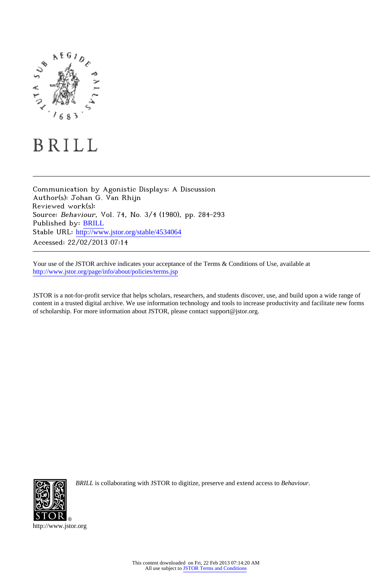

# BRILL

Communication by Agonistic Displays: A Discussion Author(s): Johan G. Van Rhijn Reviewed work(s): Source: Behaviour, Vol. 74, No. 3/4 (1980), pp. 284-293 Published by: [BRILL](http://www.jstor.org/action/showPublisher?publisherCode=bap) Stable URL: [http://www.jstor.org/stable/4534064](http://www.jstor.org/stable/4534064?origin=JSTOR-pdf) Accessed: 22/02/2013 07:14

Your use of the JSTOR archive indicates your acceptance of the Terms & Conditions of Use, available at <http://www.jstor.org/page/info/about/policies/terms.jsp>

JSTOR is a not-for-profit service that helps scholars, researchers, and students discover, use, and build upon a wide range of content in a trusted digital archive. We use information technology and tools to increase productivity and facilitate new forms of scholarship. For more information about JSTOR, please contact support@jstor.org.



*BRILL* is collaborating with JSTOR to digitize, preserve and extend access to *Behaviour.*

http://www.jstor.org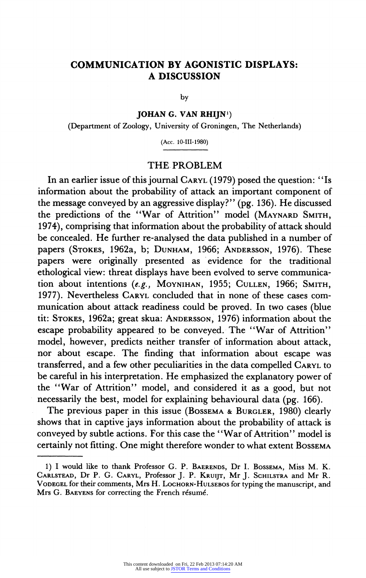# **COMMUNICATION BY AGONISTIC DISPLAYS: A DISCUSSION**

**by** 

**JOHAN G. VAN RHIJNI)** 

**(Department of Zoology, University of Groningen, The Netherlands)** 

**(Acc. 10-III-1980)** 

#### **THE- PROBLEM**

**In an earlier issue of this journal CARYL (1979) posed the question: "Is information about the probability of attack an important component of the message conveyed by an aggressive display?" (pg. 136). He discussed the predictions of the "War of Attrition" model (MAYNARD SMITH, 1974), comprising that information about the probability of attack should be concealed. He further re-analysed the data published in a number of papers (STOKES, 1962a, b; DUNHAM, 1966; ANDERSSON, 1976). These papers were originally presented as evidence for the traditional ethological view: threat displays have been evolved to serve communication about intentions (e.g., MOYNIHAN, 1955; CULLEN, 1966; SMITH, 1977). Nevertheless CARYL concluded that in none of these cases communication about attack readiness could be proved. In two cases (blue tit: STOKES, 1962a; great skua: ANDERSSON, 1976) information about the escape probability appeared to be conveyed. The "War of Attrition" model, however, predicts neither transfer of information about attack, nor about escape. The finding that information about escape was transferred, and a few other peculiarities in the data compelled CARYL to be careful in his interpretation. He emphasized the explanatory power of the "War of Attrition" model, and considered it as a good, but not necessarily the best, model for explaining behavioural data (pg. 166).** 

**The previous paper in this issue (BoSSEMA & BURGLER, 1980) clearly shows that in captive jays information about the probability of attack is conveyed by subtle actions. For this case the "War of Attrition" model is certainly not fitting. One might therefore wonder to what extent BOSSEMA** 

**<sup>1)</sup> I would like to thank Professor G. P. BAERENDS, Dr I. BOSSEMA, Miss M. K. CARLSTEAD, Dr P. G. CARYL, Professor J. P. KRUIJT, Mr J. SCHILSTRA and Mr R. VODEGEL for their comments, Mrs H. LOCHORN-HULSEBOS fortyping the manuscript, and Mrs G. BAEYENS for correcting the French resume.**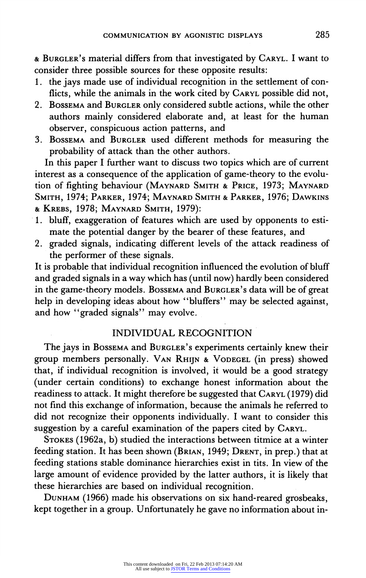**& BURGLER'S material differs from that investigated by CARYL. I want to consider three possible sources for these opposite results:** 

- **1. the jays made use of individual recognition in the settlement of conflicts, while the animals in the work cited by CARYL possible did not,**
- **2. BOSSEMA and BURGLER only considered subtle actions, while the other authors mainly considered elaborate and, at least for the human observer, conspicuous action patterns, and**
- **3. BOSSEMA and BURGLER used different methods for measuring the probability of attack than the other authors.**

**In this paper I further want to discuss two topics which are of current interest as a consequence of the application of game-theory to the evolution of fighting behaviour (MAYNARD SMITH & PRICE, 1973; MAYNARD SMITH, 1974; PARKER, 1974; MAYNARD SMITH & PARKER, 1976; DAWKINS & KREBS, 1978; MAYNARD SMITH, 1979):** 

- **1. bluff, exaggeration of features which are used by opponents to estimate the potential danger by the bearer of these features, and**
- **2. graded signals, indicating different levels of the attack readiness of the performer of these signals.**

**It is probable that individual recognition influenced the evolution of bluff and graded signals in a way which has (until now) hardly been considered in the game-theory models. BOSSEMA and BURGLER'S data will be of great help in developing ideas about how "bluffers" may be selected against, and how "graded signals" may evolve.** 

## **INDIVIDtJAL RECOGNITION**

**The jays in BOSSEMA and BURGLER's experiments certainly knew their group members personally. VAN RHIJN & VODEGEL (in press) showed that, if individual recognition is involved, it would be a good strategy (under certain conditions) to exchange honest information about the readiness to attack. It might therefore be suggested that CARYL (1979) did not find this exchange of information, because the animals he referred to did not recognize their opponents individually. I want to consider this suggestion by a careful examination of the papers cited by CARYL.** 

**STOKES (1962a, b) studied the interactions between titmice at a winter feeding station. It has been shown (BRIAN, 1949; DRENT, in prep.) that at feeding stations stable dominance hierarchies exist in tits. In view of the large amount of evidence provided by the latter authors, it is likely that these hierarchies are based on individual recognition.** 

**DUNHAM (1966) made his observations on six hand-reared grosbeaks, kept together in a group. Unfortunately he gave no information about in-**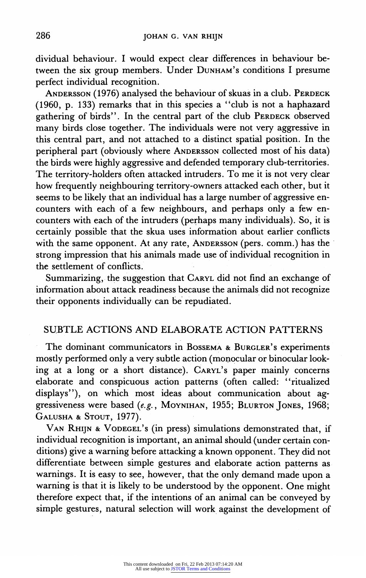**dividual behaviour. I would expect clear differences in behaviour between the six group members. Under DUNHAM'S conditions I presume perfect individual recognition.** 

**ANDERSSON (1976) analysed the behaviour of skuas in a club. PERDECK (1960, p. 133) remarks that in this species a "club is not a haphazard gathering of birds". In the central part of the club PERDECK observed many birds close together. The individuals were not very aggressive in this central part, and not attached to a distinct spatial position. In the peripheral part (obviously where ANDERSSON collected most of his data) the birds were highly aggressive and defended temporary club-territories. The territory-holders often attacked intruders. To me it is not very clear how frequently neighbouring territory-owners attacked each other, but it seems to be likely that an individual has a large number of aggressive encounters with each of a few neighbours, and perhaps only a few en**counters with each of the intruders (perhaps many individuals). So, it is **certainly possible that the skua uses information about earlier conflicts with the same opponent. At any rate, ANDERSSON (pers. comm.) has the strong impression that his animals made use of individual recognition in the settlement of conflicts.** 

**Summarizing, the suggestion that CARYL did not find an exchange of information about attack readiness because the animals did not recognize**  their opponents individually can be repudiated.

# **SUBTLE ACTIONS AND ELABORATE ACTION PATTERNS**

**The dominant communicators in BOSSEMA & BURGLER'S experiments mostly performed only a very subtle action (monocular or binocular looking at a long or a short distance). CARYL'S paper mainly concerns elaborate and conspicuous action patterns (often called: "ritualized displays"), on which most ideas about communication about aggressiveness were based (e.g., MOYNIHAN, 1955; BLURTON JONES, 1968; GALUSHA & STOUT, 1977).** 

**VAN RHIJN & VODEGEL'S (in press) simulations demonstrated that, if individual recognition is important, an animal should (under certain conditions) give a warning before attacking a known opponent. They did not differentiate between simple gestures and elaborate action patterns as warnings. It is easy to see, however, that the only demand made upon a warning is that it is likely to be understood by the opponent. One might therefore expect that, if the intentions of an animal can be conveyed by simple gestures, natural selection will work against the development of**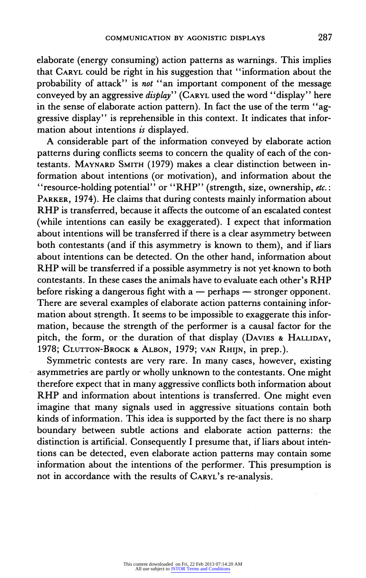**elaborate (energy consuming) action patterns as warnings. This implies that CARYL could be right in his suggestion that "information about the probability of attack" is not "an important component of the message conveyed by an aggressive display" (CARYL used the word "display" here in the sense of elaborate action pattern). In fact the use of the term "ag**gressive display" is reprehensible in this context. It indicates that infor**mation about intentions is displayed.** 

**A considerable part of the information conveyed by elaborate action patterns during conflicts seems to concern the quality of each of the contestants. MAYNARD SMITH (1979) makes a clear distinction between information about intentions (or motivation), and information about the**  "**resource-holding potential**" or "RHP" (strength, size, ownership, *etc.*: **PARKER, 1974). He claims that during contests mainly information about RHP is transferred, because it affects the outcome of an escalated contest (while intentions can easily be exaggerated). I expect that information about intentions will be transferred if there is a clear asymmetry between both contestants (and if this asymmetry is known to them), and if liars about intentions can be detected. On the other hand, information about RHP** will be transferred if a possible asymmetry is not yet known to both **contestants. In these cases the animals have to evaluate each other's RHP before risking a dangerous fight with a — perhaps — stronger opponent. There are several examples of elaborate action patterns containing information about strength. It seems to be impossible to exaggerate this information, because the strength of the performer is a causal factor for the pitch, the form, or the duration of that display (DAVIES & HALLIDAY, 1978; CLUTTON-BROCK & ALBON, 1979; VAN RHIJN, in prep.).** 

**Symmetric contests are very rare. In many cases, however, existing asymmetries are partly or wholly unknown to the contestants. One might therefore expect that in many aggressive conflicts both information about RHP and information about intentions is transferred. One might even imagine that many signals used in aggressive situations contain both kinds of information. This idea is supported by the fact there is no sharp boundary between subtle actions and elaborate action patterns: the distinction is artificial. Consequently I presume that, if liars about intentions can be detected, even elaborate action patterns may contain some information about the intentions of the performer. This presumption is not in accordance with the results of CARYL'S re-analysis.**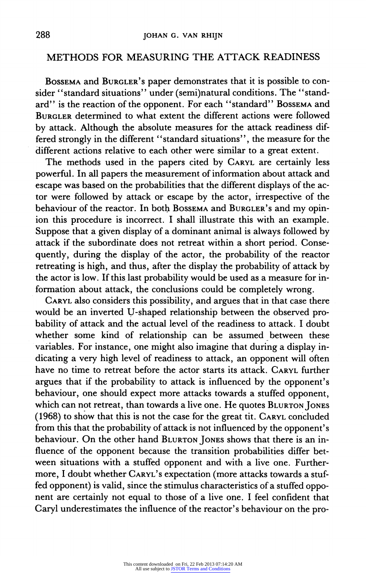#### **METHODS FOR MEASURING THE ATTACK READINESS**

**BOSSEMA and BURGLER'S paper demonstrates that it is possible to con**sider "standard situations" under (semi)natural conditions. The "standard" is the reaction of the opponent. For each "standard" Bossema and **BURGLER determined to what extent the different actions were followed by attack. Although the absolute measures for the attack readiness differed strongly in the different "standard situations", the measure for the different actions relative to each other were similar to a great extent.** 

**The methods used in the papers cited by CARYL are certainly less powerful. In all papers the measurement of information about attack and escape was based on the probabilities that the different displays of the actor were followed by attack or escape by the actor, irrespective of the behaviour of the reactor. In both BOSSEMA and BURGLER's and my opinion this procedure is incorrect. I shall illustrate this with an example. Suppose that a given display of a dominant animal is always followed by attack if the subordinate does not retreat within a short period. Consequently, during the display of the actor, the probability of the reactor retreating is high, and thus, after the display the probability of attack by the actor is low. If this last probability would be used as a measure for information about attack, the conclusions could be completely wrong.** 

**CARYL also considers this possibility, and argues that in that case there would be an inverted U-shaped relationship between the observed probability of attack and the actual level of the readiness to attack. I doubt whether some kind of relationship can be assumed between these variables. For instance, one might also imagine that during a display indicating a very high level of readiness to attack, an opponent will often**  have no time to retreat before the actor starts its attack. CARYL further **argues that if the probability to attack is influenced by the opponent's behaviour, one should expect more attacks towards a stuffed opponent,**  which can not retreat, than towards a live one. He quotes **BLURTON** JONES **(1968) to show that this is not the case for the great tit. CARYL concluded from this that the probability of attack is not influenced by the opponent's behaviour. On the other hand BLURTON JONES shows that there is an influence of the opponent because the transition probabilities differ between situations with a stuffed opponent and with a live one. Furthermore, I doubt whether CARYL's expectation (more attacks towards a stuffed opponent) is valid, since the stimulus characteristics of a stuffed opponent are certainly not equal to those of a live one. I feel confident that Caryl underestimates the influence of the reactor's behaviour on the pro-**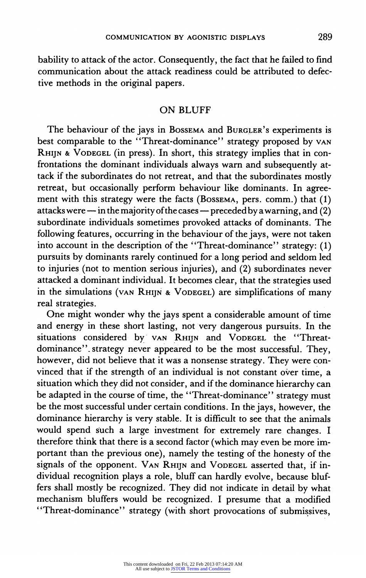**bability to attack of the actor. Consequently, the fact that he failed to find communication about the attack readiness could be attributed to defective methods in the original papers.** 

### **ON BLUFF**

**The behaviour of the jays in BOSSEMA and BURGLER'S experiments is best comparable to the "Threat-dominance" strategy proposed by VAN RHIJN & VODEGEL (in press). In short, this strategy implies that in confrontations the dominant individuals always warn and subsequently attack if the subordinates do not retreat, and that the subordinates mostly retreat, but occasionally perform behaviour like dominants. In agree**ment with this strategy were the facts *(BOSSEMA, pers. comm.)* that (1) **attacks were - in the majority of the cases - preceded by a warning, and (2) subordinate individuals sometimes provoked attacks of dominants. The following features, occurring in the behaviour of the jays, were not taken into account in the description of the "Threat-dominance" strategy: (1) pursuits by dominants rarely continued for a long period and seldom led to injuries (not to mention serious injuries), and (2) subordinates never attacked a dominant individual. It becomes clear, that the strategies used in the simulations (VAN RHIJN & VODEGEL) are simplifications of many real strategies.** 

**One might wonder why the jays spent a considerable amount of time and energy in these short lasting, not very dangerous pursuits. In the situations considered by VAN RHIJN and VODEGEL the "Threatdominance" strategy never appeared to be the most successful. They, however, did not believe that it was a nonsense strategy. They were convinced that if the strength of an individual is not constant over time, a situation which they did not consider, and if the dominance hierarchy can be adapted in the course of time, the "Threat-dominance" strategy must be the most successful under certain conditions. In the jays, however, the dominance hierarchy is very stable. It is difficult to see that the animals would spend such a large investment for extremely rare changes. I therefore think that there is a second factor (which may even be more important than the previous one), namely the testing of the honesty of the signals of the opponent. VAN RHIJN and VODEGEL asserted that, if individual recognition plays a role, bluff can hardly evolve, because bluffers shall mostly be recognized. They did not indicate in detail by what mechanism bluffers would be recognized. I presume that a modified "Threat-dominance" strategy (with short provocations of submissives,**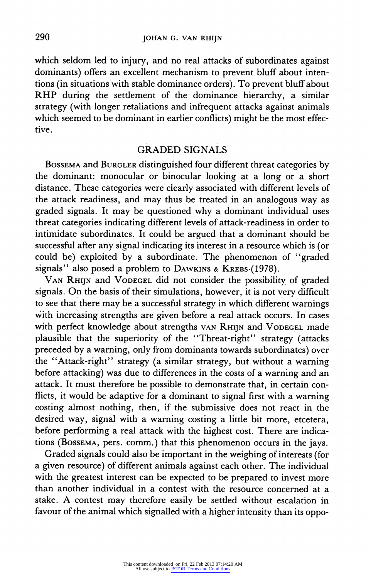**which seldom led to injury, and no real attacks of subordinates against dominants) offers an excellent mechanism to prevent bluff about intentions (in situations with stable dominance orders). To prevent bluff about RHP during the settlement of the dominance hierarchy, a similar strategy (with longer retaliations and infrequent attacks against animals**  which seemed to be dominant in earlier conflicts) might be the most effec**tive.** 

## **GRADED SIGNALS**

**BOSSEMA and BURGLER distinguished four different threat categories by the dominant: monocular or binocular looking at a long or a short distance. These categories were clearly associated with different levels of the attack readiness, and may thus be treated in an analogous way as graded signals. It may be questioned why a dominant individual uses threat categories indicating different levels of attack-readiness in order to intimidate subordinates. It could be argued that a dominant should be successful after any signal indicating its interest in a resource which is (or could be) exploited by a subordinate. The phenomenon of "graded**  signals" also posed a problem to DAWKINS & **KREBS** (1978).

**VAN RHIJN and VODEGEL did not consider the possibility of graded signals. On the basis of their simulations, however, it is not very difficult to see that there may be a successful strategy in which different warnings with increasing strengths are given before a real attack occurs. In cases with perfect knowledge about strengths VAN RHIJN and VODEGEL made plausible that the superiority of the "Threat-right" strategy (attacks preceded by a warning, only from dominants towards subordinates) over the "Attack-right" strategy (a similar strategy, but without a warning before attacking) was due to differences in the costs of a warning and an attack. It must therefore be possible to demonstrate that, in certain conflicts, it would be adaptive for a dominant to signal first with a warning costing almost nothing, then, if the submissive does not react in the desired way, signal with a warning costing a little bit more, etcetera, before performing a real attack with the highest cost. There are indications (BOSSEMA, pers. comm.) that this phenomenon occurs in the jays.** 

**Graded signals could also be important in the weighing of interests (for a given resource) of different animals against each other. The individual with the greatest interest can be expected to be prepared to invest more than another individual in a contest with the resource concerned at a stake. A contest may therefore easily be settled without escalation in favour of the animal which signalled with a higher intensity than its oppo-**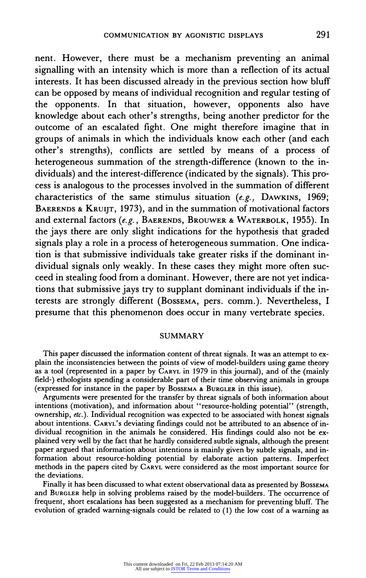**nent. However, there must be a mechanism preventing an animal signalling with an intensity which is more than a reflection of its actual interests. It has been discussed already in the previous section how bluff can be opposed by means of individual recognition and regular testing of the opponents. In that situation, however, opponents also have knowledge about each other's strengths, being another predictor for the outcome of an escalated fight. One might therefore imagine that in groups of animals in which the individuals know each other (and each other's strengths), conflicts are settled by means of a process of heterogeneous summation of the strength-difference (known to the individuals) and the interest-difference (indicated by the signals). This process is analogous to the processes involved in the summation of different characteristics of the same stimulus situation (e.g., DAWKINS, 1969; BAERENDS & KRUIJT, 1973), and in the summation of motivational factors and external factors (e.g., BAERENDS, BROUWER & WATERBOLK, 1955). In the jays there are only slight indications for the hypothesis that graded signals play a role in a process of heterogeneous summation. One indication is that submissive individuals take greater risks if the dominant individual signals only weakly. In these cases they might more often succeed in stealing food from a dominant. However, there are not yet indications that submissive jays try to supplant dominant individuals if the interests are strongly different (BOSSEMA, pers. comm.). Nevertheless, I presume that this phenomenon does occur in many vertebrate species.** 

#### **SUMMARY**

**This paper discussed the information content of threat signals. It was an attempt to explain the inconsistencies between the points of view of model-builders using game theory as a tool (represented in a paper by CARYL in 1979 in this journal), and of the (mainly field-) ethologists spending a considerable part of their time observing animals in groups (expressed for instance in the paper by BOSSEMA & BURGLER in this issue).** 

**Arguments were presented for the transfer by threat signals of both information about intentions (motivation), and information about "resource-holding potential" (strength, ownership, etc.). Individual recognition was expected to be associated with honest signals about intentions. CARYL'S deviating findings could not be attributed to an absence of individual recognition in the animals he considered. His findings could also not be explained very well by the fact that he hardly considered subtle signals, although the present paper argued that information about intentions is mainly given by subtle signals, and information about resource-holding potential by elaborate action patterns. Imperfect methods in the papers cited by CARYL were considered as the most important source for the deviations.** 

**Finally it has been discussed to what extent observational data as presented by BOSSEMA and BURGLER help in solving problems raised by the model-builders. The occurrence of frequent, short escalations has been suggested as a mechanism for preventing bluff. The evolution of graded warning-signals could be related to (1) the low cost of a warning as**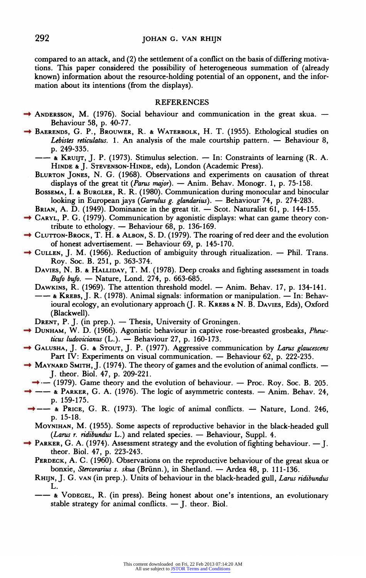**compared to an attack, and (2) the settlement of a conflict on the basis of differing motivations. This paper considered the possibility of heterogeneous summation of (already known) information about the resource-holding potential of an opponent, and the information about its intentions (from the displays).** 

#### **REFERENCES**

- $\rightarrow$  ANDERSSON, M. (1976). Social behaviour and communication in the great skua.  $\rightarrow$ **Behaviour 58, p. 40-77.**
- **BAERENDS, G. P., BROUWER, R. & WATERBOLK, H. T. (1955). Ethological studies on Lebistes reticulatus. 1. An analysis of the male courtship pattern. - Behaviour 8, p. 249-335.** 
	- **-- & KRUIJT, J. P. (1973). Stimulus selection. In: Constraints of learning (R. A. HINDE & J. STEVENSON-HINDE, eds), London (Academic Press).**
	- **BLURTON JONES, N. G. (1968). Observations and experiments on causation of threat displays of the great tit (Parus major). - Anim. Behav. Monogr. 1, p. 75-158.**
	- **BOSSEMA, I. & BURGLER, R. R. (1980). Communication during monocular and binocular looking in European jays (Garrulus g. glandarius). - Behaviour 74, p. 274-283.**
	- **BRIAN, A. D. (1949). Dominance in the great tit. Scot. Naturalist 61, p. 144-155.**
- **→ CARYL, P. G. (1979). Communication by agonistic displays: what can game theory contribute to ethology. - Behaviour 68, p. 136-169.**
- **CLUTTON-BROCK, T. H. & ALBON, S. D. (1979). The roaring of red deer and the evolution of honest advertisement. - Behaviour 69, p. 145-170.**
- $\rightarrow$  CULLEN, I. M. (1966). Reduction of ambiguity through ritualization.  $-$  Phil. Trans. **Roy. Soc. B. 251, p. 363-374.** 
	- **DAVIES, N. B. & HALLIDAY, T. M. (1978). Deep croaks and fighting assessment in toads Bufo bufo. - Nature, Lond. 274, p. 663-685.**
	- **DAWKINS, R. (1969). The attention threshold model. Anim. Behav. 17, p. 134-141. -- & KREBS, J. R. (1978). Animal signals: information or manipulation. - In: Behavioural ecology, an evolutionary approach (J. R. KREBS & N. B. DAVIES, Eds), Oxford (Blackwell).**
	- **DRENT, P. J. (in prep.). Thesis, University of Groningen.**
- → DUNHAM, W. D. (1966). Agonistic behaviour in captive rose-breasted grosbeaks, *Pheuc***ticus ludovicianus (L.). - Behaviour 27, p. 160-173.**
- **GALUSHA, J. G. & STOUT, J. P. (1977). Aggressive communication by Larus glaucescens**  Part IV: Experiments on visual communication. — Behaviour 62, p. 222-235.
- **MAYNARD SMITH, J. (1974). The theory of games and the evolution of animal conflicts. J. theor. Biol. 47, p. 209-221.**
- $\rightarrow$  **-** (1979). Game theory and the evolution of behaviour. **-** Proc. Roy. Soc. B. 205.
- **--& PARKER, G. A. (1976). The logic of asymmetric contests. Anim. Behav. 24, p. 159-175.**
- $\rightarrow$  --  $\arrow$  **PRICE, G. R. (1973). The logic of animal conflicts. Nature, Lond. 246, p. 15-18.**

- **PARKER, G. A. (1974). Assessment strategy and the evolution of fighting behaviour.**  $-$  **[. theor. Biol. 47, p. 223-243.** 
	- **PERDECK, A. C. (1960). Observations on the reproductive behaviour of the great skua or bonxie, Stercorarius s. skua (Briinn.), in Shetland. - Ardea 48, p. 111-136.**
	- **RHIJN, J. G. VAN (in prep.). Units of behaviour in the black-headed gull, Larus ridibundus L.**
	- **& VODEGEL, R. (in press). Being honest about one's intentions, an evolutionary stable strategy for animal conflicts. - J. theor. Biol.**

**MOYNIHAN, M. (1955). Some aspects of reproductive behavior in the black-headed gull (Larus r. ridibundus L.) and related species. - Behaviour, Suppl. 4.**